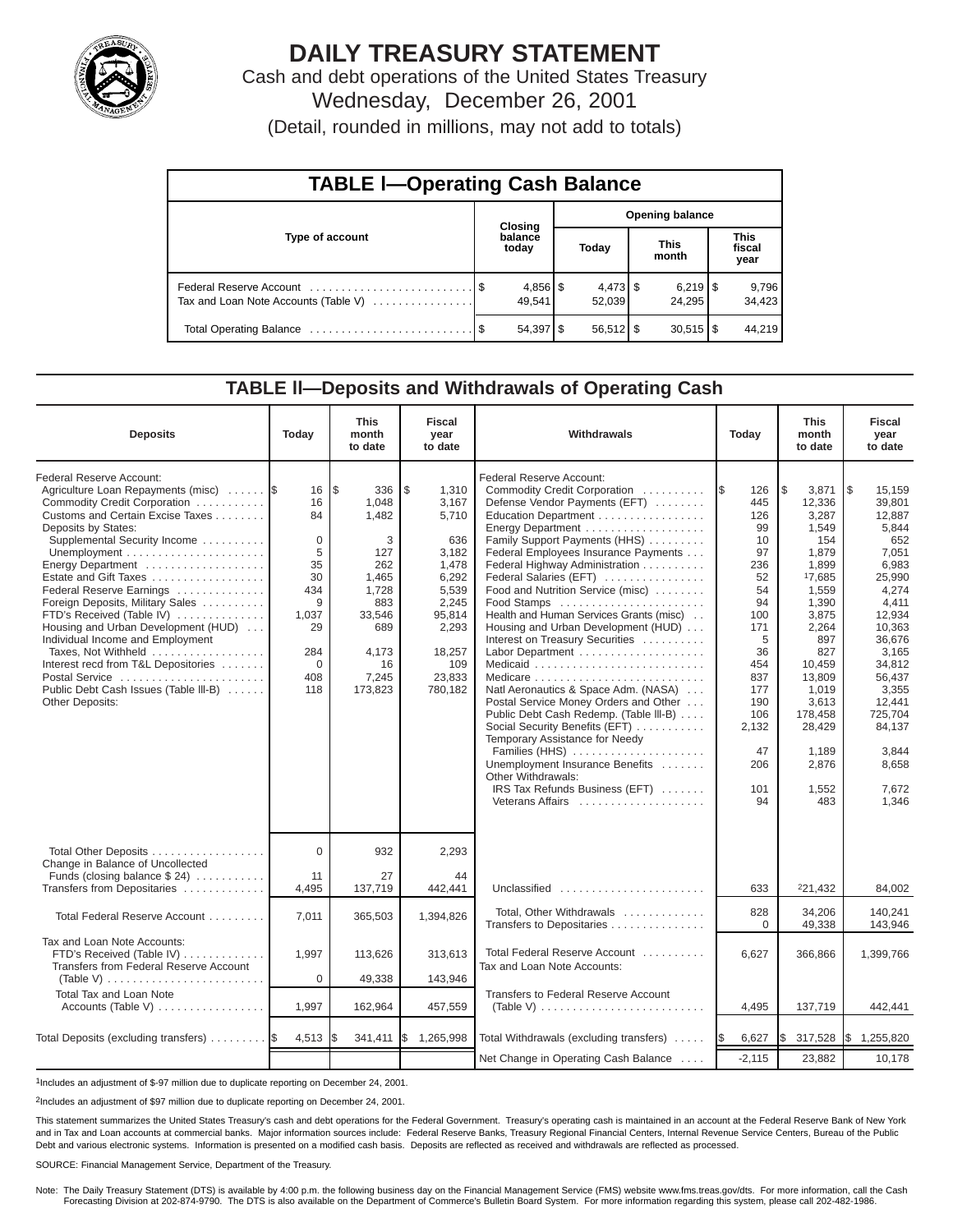

# **DAILY TREASURY STATEMENT**

Cash and debt operations of the United States Treasury Wednesday, December 26, 2001

(Detail, rounded in millions, may not add to totals)

| <b>TABLE I-Operating Cash Balance</b> |  |                      |                        |                      |  |                        |  |                 |  |  |
|---------------------------------------|--|----------------------|------------------------|----------------------|--|------------------------|--|-----------------|--|--|
|                                       |  | <b>Closing</b>       | <b>Opening balance</b> |                      |  |                        |  |                 |  |  |
| Type of account                       |  | balance<br>today     | Today                  |                      |  | <b>This</b><br>month   |  |                 |  |  |
| Tax and Loan Note Accounts (Table V)  |  | $4,856$ \$<br>49.541 |                        | $4,473$ \$<br>52.039 |  | 24.295                 |  | 9,796<br>34,423 |  |  |
|                                       |  |                      |                        | $56,512$ \$          |  | $30,515$ $\frac{1}{3}$ |  | 44.219          |  |  |

### **TABLE ll—Deposits and Withdrawals of Operating Cash**

| <b>Deposits</b>                                                                                                                                                                                                                                                                                                                                                                                                                                                                                                                                                    | Today                                                                                                         | <b>This</b><br>month<br>to date                                                                                              | <b>Fiscal</b><br>year<br>to date                                                                                                           | Withdrawals                                                                                                                                                                                                                                                                                                                                                                                                                                                                                                                                                                                                                                                                                                                                                     | Today                                                                                                                                                              | <b>This</b><br>month<br>to date                                                                                                                                                                                            | <b>Fiscal</b><br>year<br>to date                                                                                                                                                                                                            |
|--------------------------------------------------------------------------------------------------------------------------------------------------------------------------------------------------------------------------------------------------------------------------------------------------------------------------------------------------------------------------------------------------------------------------------------------------------------------------------------------------------------------------------------------------------------------|---------------------------------------------------------------------------------------------------------------|------------------------------------------------------------------------------------------------------------------------------|--------------------------------------------------------------------------------------------------------------------------------------------|-----------------------------------------------------------------------------------------------------------------------------------------------------------------------------------------------------------------------------------------------------------------------------------------------------------------------------------------------------------------------------------------------------------------------------------------------------------------------------------------------------------------------------------------------------------------------------------------------------------------------------------------------------------------------------------------------------------------------------------------------------------------|--------------------------------------------------------------------------------------------------------------------------------------------------------------------|----------------------------------------------------------------------------------------------------------------------------------------------------------------------------------------------------------------------------|---------------------------------------------------------------------------------------------------------------------------------------------------------------------------------------------------------------------------------------------|
| Federal Reserve Account:<br>Agriculture Loan Repayments (misc)<br>Commodity Credit Corporation<br>Customs and Certain Excise Taxes<br>Deposits by States:<br>Supplemental Security Income<br>Energy Department<br>Estate and Gift Taxes<br>Federal Reserve Earnings<br>Foreign Deposits, Military Sales<br>FTD's Received (Table IV)<br>Housing and Urban Development (HUD)<br>Individual Income and Employment<br>Taxes. Not Withheld<br>Interest recd from T&L Depositories<br>Postal Service<br>Public Debt Cash Issues (Table III-B)<br><b>Other Deposits:</b> | 16<br>16<br>84<br>$\mathbf 0$<br>5<br>35<br>30<br>434<br>9<br>1.037<br>29<br>284<br>$\mathbf 0$<br>408<br>118 | l\$<br>336<br>1,048<br>1,482<br>3<br>127<br>262<br>1,465<br>1.728<br>883<br>33,546<br>689<br>4.173<br>16<br>7,245<br>173,823 | \$<br>1,310<br>3,167<br>5,710<br>636<br>3,182<br>1,478<br>6,292<br>5,539<br>2,245<br>95,814<br>2,293<br>18,257<br>109<br>23.833<br>780,182 | Federal Reserve Account:<br>Commodity Credit Corporation<br>Defense Vendor Payments (EFT)<br>Education Department<br>Family Support Payments (HHS)<br>Federal Employees Insurance Payments<br>Federal Highway Administration<br>Federal Salaries (EFT)<br>Food and Nutrition Service (misc)<br>Food Stamps<br>Health and Human Services Grants (misc)<br>Housing and Urban Development (HUD)<br>Interest on Treasury Securities<br>Natl Aeronautics & Space Adm. (NASA)<br>Postal Service Money Orders and Other<br>Public Debt Cash Redemp. (Table III-B)<br>Social Security Benefits (EFT)<br>Temporary Assistance for Needy<br>Families (HHS)<br>Unemployment Insurance Benefits<br>Other Withdrawals:<br>IRS Tax Refunds Business (EFT)<br>Veterans Affairs | 126<br>I\$<br>445<br>126<br>99<br>10<br>97<br>236<br>52<br>54<br>94<br>100<br>171<br>5<br>36<br>454<br>837<br>177<br>190<br>106<br>2,132<br>47<br>206<br>101<br>94 | 3,871<br>\$.<br>12,336<br>3,287<br>1,549<br>154<br>1,879<br>1,899<br>17,685<br>1.559<br>1,390<br>3,875<br>2,264<br>897<br>827<br>10,459<br>13.809<br>1.019<br>3,613<br>178,458<br>28,429<br>1,189<br>2,876<br>1,552<br>483 | <b>S</b><br>15.159<br>39.801<br>12,887<br>5,844<br>652<br>7,051<br>6,983<br>25,990<br>4.274<br>4.411<br>12.934<br>10.363<br>36,676<br>3.165<br>34,812<br>56.437<br>3.355<br>12,441<br>725,704<br>84,137<br>3,844<br>8,658<br>7,672<br>1,346 |
| Total Other Deposits<br>Change in Balance of Uncollected<br>Funds (closing balance $$24)$                                                                                                                                                                                                                                                                                                                                                                                                                                                                          | $\Omega$<br>11                                                                                                | 932<br>27                                                                                                                    | 2,293<br>44                                                                                                                                |                                                                                                                                                                                                                                                                                                                                                                                                                                                                                                                                                                                                                                                                                                                                                                 |                                                                                                                                                                    |                                                                                                                                                                                                                            |                                                                                                                                                                                                                                             |
| Transfers from Depositaries                                                                                                                                                                                                                                                                                                                                                                                                                                                                                                                                        | 4,495                                                                                                         | 137,719                                                                                                                      | 442,441                                                                                                                                    | Unclassified                                                                                                                                                                                                                                                                                                                                                                                                                                                                                                                                                                                                                                                                                                                                                    | 633                                                                                                                                                                | 221,432                                                                                                                                                                                                                    | 84,002                                                                                                                                                                                                                                      |
| Total Federal Reserve Account                                                                                                                                                                                                                                                                                                                                                                                                                                                                                                                                      | 7,011                                                                                                         | 365,503                                                                                                                      | 1,394,826                                                                                                                                  | Total. Other Withdrawals<br>Transfers to Depositaries                                                                                                                                                                                                                                                                                                                                                                                                                                                                                                                                                                                                                                                                                                           | 828<br>$\Omega$                                                                                                                                                    | 34.206<br>49,338                                                                                                                                                                                                           | 140.241<br>143,946                                                                                                                                                                                                                          |
| Tax and Loan Note Accounts:<br>FTD's Received (Table IV)<br>Transfers from Federal Reserve Account                                                                                                                                                                                                                                                                                                                                                                                                                                                                 | 1,997                                                                                                         | 113,626                                                                                                                      | 313,613                                                                                                                                    | Total Federal Reserve Account<br>Tax and Loan Note Accounts:                                                                                                                                                                                                                                                                                                                                                                                                                                                                                                                                                                                                                                                                                                    | 6,627                                                                                                                                                              | 366,866                                                                                                                                                                                                                    | 1,399,766                                                                                                                                                                                                                                   |
| (Table V) $\ldots \ldots \ldots \ldots \ldots \ldots \ldots \ldots$<br>Total Tax and Loan Note<br>Accounts (Table V)                                                                                                                                                                                                                                                                                                                                                                                                                                               | 0<br>1,997                                                                                                    | 49,338<br>162,964                                                                                                            | 143,946<br>457,559                                                                                                                         | Transfers to Federal Reserve Account<br>(Table V) $\ldots \ldots \ldots \ldots \ldots \ldots \ldots \ldots$                                                                                                                                                                                                                                                                                                                                                                                                                                                                                                                                                                                                                                                     | 4,495                                                                                                                                                              | 137,719                                                                                                                                                                                                                    | 442,441                                                                                                                                                                                                                                     |
| Total Deposits (excluding transfers)                                                                                                                                                                                                                                                                                                                                                                                                                                                                                                                               | 4,513                                                                                                         |                                                                                                                              | 341,411 \$ 1,265,998                                                                                                                       | Total Withdrawals (excluding transfers)                                                                                                                                                                                                                                                                                                                                                                                                                                                                                                                                                                                                                                                                                                                         | 6,627<br><b>15</b>                                                                                                                                                 | I\$<br>317,528                                                                                                                                                                                                             | \$1,255,820                                                                                                                                                                                                                                 |
|                                                                                                                                                                                                                                                                                                                                                                                                                                                                                                                                                                    |                                                                                                               |                                                                                                                              |                                                                                                                                            | Net Change in Operating Cash Balance                                                                                                                                                                                                                                                                                                                                                                                                                                                                                                                                                                                                                                                                                                                            | $-2,115$                                                                                                                                                           | 23,882                                                                                                                                                                                                                     | 10,178                                                                                                                                                                                                                                      |

1Includes an adjustment of \$-97 million due to duplicate reporting on December 24, 2001.

2Includes an adjustment of \$97 million due to duplicate reporting on December 24, 2001.

This statement summarizes the United States Treasury's cash and debt operations for the Federal Government. Treasury's operating cash is maintained in an account at the Federal Reserve Bank of New York and in Tax and Loan accounts at commercial banks. Major information sources include: Federal Reserve Banks, Treasury Regional Financial Centers, Internal Revenue Service Centers, Bureau of the Public Debt and various electronic systems. Information is presented on a modified cash basis. Deposits are reflected as received and withdrawals are reflected as processed.

#### SOURCE: Financial Management Service, Department of the Treasury.

Note: The Daily Treasury Statement (DTS) is available by 4:00 p.m. the following business day on the Financial Management Service (FMS) website www.fms.treas.gov/dts. For more information, call the Cash Forecasting Division at 202-874-9790. The DTS is also available on the Department of Commerce's Bulletin Board System. For more information regarding this system, please call 202-482-1986.